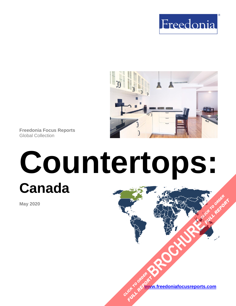



**Freedonia Focus Reports** Global Collection

# **Countertops: Canada [BROCHURE](https://www.freedoniafocusreports.com/Countertops-Canada-FA60020/?progid=89541) CLICK TO ORDER**

**May 2020**

**[www.freedoniafocusreports.com](https://www.freedoniafocusreports.com/redirect.asp?progid=89534&url=/)** CLICK TO ORDER **FULL REPORT** 

**FULL REPORT**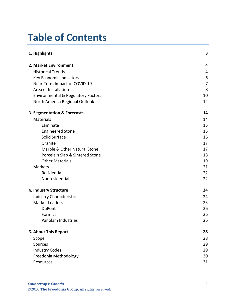# **Table of Contents**

| 1. Highlights                                 | 3              |
|-----------------------------------------------|----------------|
| 2. Market Environment                         | 4              |
| <b>Historical Trends</b>                      | 4              |
| Key Economic Indicators                       | 6              |
| Near-Term Impact of COVID-19                  | $\overline{7}$ |
| Area of Installation                          | 8              |
| <b>Environmental &amp; Regulatory Factors</b> | 10             |
| North America Regional Outlook                | 12             |
| 3. Segmentation & Forecasts                   | 14             |
| <b>Materials</b>                              | 14             |
| Laminate                                      | 15             |
| <b>Engineered Stone</b>                       | 15             |
| Solid Surface                                 | 16             |
| Granite                                       | 17             |
| Marble & Other Natural Stone                  | 17             |
| Porcelain Slab & Sintered Stone               | 18             |
| <b>Other Materials</b>                        | 19             |
| Markets                                       | 21             |
| Residential                                   | 22             |
| Nonresidential                                | 22             |
| 4. Industry Structure                         | 24             |
| <b>Industry Characteristics</b>               | 24             |
| <b>Market Leaders</b>                         | 25             |
| <b>DuPont</b>                                 | 26             |
| Formica                                       | 26             |
| Panolam Industries                            | 26             |
| 5. About This Report                          | 28             |
| Scope                                         | 28             |
| Sources                                       | 29             |
| <b>Industry Codes</b>                         | 29             |
| Freedonia Methodology                         | 30             |
| Resources                                     | 31             |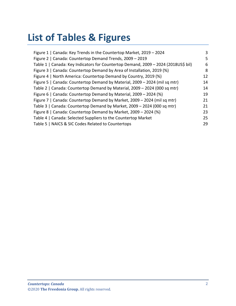# **List of Tables & Figures**

| Figure 1   Canada: Key Trends in the Countertop Market, 2019 - 2024                | 3  |
|------------------------------------------------------------------------------------|----|
| Figure 2   Canada: Countertop Demand Trends, 2009 - 2019                           | 5  |
| Table 1   Canada: Key Indicators for Countertop Demand, 2009 - 2024 (2018US\$ bil) | 6  |
| Figure 3   Canada: Countertop Demand by Area of Installation, 2019 (%)             | 8  |
| Figure 4   North America: Countertop Demand by Country, 2019 (%)                   | 12 |
| Figure 5   Canada: Countertop Demand by Material, 2009 - 2024 (mil sq mtr)         | 14 |
| Table 2   Canada: Countertop Demand by Material, 2009 - 2024 (000 sq mtr)          | 14 |
| Figure 6   Canada: Countertop Demand by Material, 2009 - 2024 (%)                  | 19 |
| Figure 7   Canada: Countertop Demand by Market, 2009 - 2024 (mil sq mtr)           | 21 |
| Table 3   Canada: Countertop Demand by Market, 2009 - 2024 (000 sq mtr)            | 21 |
| Figure 8   Canada: Countertop Demand by Market, 2009 - 2024 (%)                    | 23 |
| Table 4   Canada: Selected Suppliers to the Countertop Market                      | 25 |
| Table 5   NAICS & SIC Codes Related to Countertops                                 | 29 |
|                                                                                    |    |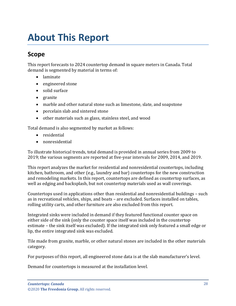# <span id="page-3-0"></span>**About This Report**

# <span id="page-3-1"></span>**Scope**

This report forecasts to 2024 countertop demand in square meters in Canada. Total demand is segmented by material in terms of:

- laminate
- engineered stone
- solid surface
- granite
- marble and other natural stone such as limestone, slate, and soapstone
- porcelain slab and sintered stone
- other materials such as glass, stainless steel, and wood

Total demand is also segmented by market as follows:

- residential
- nonresidential

To illustrate historical trends, total demand is provided in annual series from 2009 to 2019; the various segments are reported at five-year intervals for 2009, 2014, and 2019.

This report analyzes the market for residential and nonresidential countertops, including kitchen, bathroom, and other (e.g., laundry and bar) countertops for the new construction and remodeling markets. In this report, countertops are defined as countertop surfaces, as well as edging and backsplash, but not countertop materials used as wall coverings.

Countertops used in applications other than residential and nonresidential buildings – such as in recreational vehicles, ships, and boats – are excluded. Surfaces installed on tables, rolling utility carts, and other furniture are also excluded from this report.

Integrated sinks were included in demand if they featured functional counter space on either side of the sink (only the counter space itself was included in the countertop estimate – the sink itself was excluded). If the integrated sink only featured a small edge or lip, the entire integrated sink was excluded.

Tile made from granite, marble, or other natural stones are included in the other materials category.

For purposes of this report, all engineered stone data is at the slab manufacturer's level.

Demand for countertops is measured at the installation level.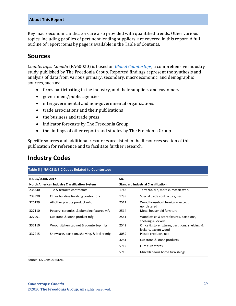#### **About This Report**

Key macroeconomic indicators are also provided with quantified trends. Other various topics, including profiles of pertinent leading suppliers, are covered in this report. A full outline of report items by page is available in the Table of Contents.

## <span id="page-4-0"></span>**Sources**

*Countertops: Canada* (FA60020) is based on *[Global Countertops,](http://www.freedoniagroup.com/DocumentDetails.aspx?ReferrerId=FL-FOCUS&studyid=3836)* a comprehensive industry study published by The Freedonia Group. Reported findings represent the synthesis and analysis of data from various primary, secondary, macroeconomic, and demographic sources, such as:

- firms participating in the industry, and their suppliers and customers
- government/public agencies
- intergovernmental and non-governmental organizations
- trade associations and their publications
- the business and trade press
- indicator forecasts by The Freedonia Group
- the findings of other reports and studies by The Freedonia Group

Specific sources and additional resources are listed in the Resources section of this publication for reference and to facilitate further research.

## <span id="page-4-1"></span>**Industry Codes**

<span id="page-4-2"></span>

| Table 5   NAICS & SIC Codes Related to Countertops   |                                             |                                           |                                                                          |  |
|------------------------------------------------------|---------------------------------------------|-------------------------------------------|--------------------------------------------------------------------------|--|
| <b>NAICS/SCIAN 2017</b>                              |                                             | <b>SIC</b>                                |                                                                          |  |
| <b>North American Industry Classification System</b> |                                             | <b>Standard Industrial Classification</b> |                                                                          |  |
| 238340                                               | Tile & terrazzo contractors                 | 1743                                      | Terrazzo, tile, marble, mosaic work                                      |  |
| 238390                                               | Other building finishing contractors        | 1799                                      | Special trade contractors, nec                                           |  |
| 326199                                               | All other plastics product mfg              | 2511                                      | Wood household furniture, except<br>upholstered                          |  |
| 327110                                               | Pottery, ceramics, & plumbing fixtures mfg  | 2514                                      | Metal household furniture                                                |  |
| 327991                                               | Cut stone & stone product mfg               | 2541                                      | Wood office & store fixtures, partitions,<br>shelving & lockers          |  |
| 337110                                               | Wood kitchen cabinet & countertop mfg       | 2542                                      | Office & store fixtures, partitions, shelving, &<br>lockers, except wood |  |
| 337215                                               | Showcase, partition, shelving, & locker mfg | 3089                                      | Plastic products, nec                                                    |  |
|                                                      |                                             | 3281                                      | Cut stone & stone products                                               |  |
|                                                      |                                             | 5712                                      | <b>Furniture stores</b>                                                  |  |
|                                                      |                                             | 5719                                      | Miscellaneous home furnishings                                           |  |

Source: US Census Bureau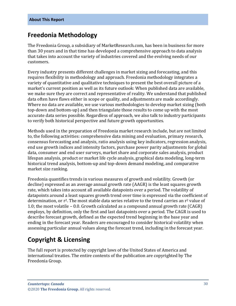## <span id="page-5-0"></span>**Freedonia Methodology**

The Freedonia Group, a subsidiary of MarketResearch.com, has been in business for more than 30 years and in that time has developed a comprehensive approach to data analysis that takes into account the variety of industries covered and the evolving needs of our customers.

Every industry presents different challenges in market sizing and forecasting, and this requires flexibility in methodology and approach. Freedonia methodology integrates a variety of quantitative and qualitative techniques to present the best overall picture of a market's current position as well as its future outlook: When published data are available, we make sure they are correct and representative of reality. We understand that published data often have flaws either in scope or quality, and adjustments are made accordingly. Where no data are available, we use various methodologies to develop market sizing (both top-down and bottom-up) and then triangulate those results to come up with the most accurate data series possible. Regardless of approach, we also talk to industry participants to verify both historical perspective and future growth opportunities.

Methods used in the preparation of Freedonia market research include, but are not limited to, the following activities: comprehensive data mining and evaluation, primary research, consensus forecasting and analysis, ratio analysis using key indicators, regression analysis, end use growth indices and intensity factors, purchase power parity adjustments for global data, consumer and end user surveys, market share and corporate sales analysis, product lifespan analysis, product or market life cycle analysis, graphical data modeling, long-term historical trend analysis, bottom-up and top-down demand modeling, and comparative market size ranking.

Freedonia quantifies trends in various measures of growth and volatility. Growth (or decline) expressed as an average annual growth rate (AAGR) is the least squares growth rate, which takes into account all available datapoints over a period. The volatility of datapoints around a least squares growth trend over time is expressed via the coefficient of determination, or  $r^2$ . The most stable data series relative to the trend carries an  $r^2$  value of 1.0; the most volatile – 0.0. Growth calculated as a compound annual growth rate (CAGR) employs, by definition, only the first and last datapoints over a period. The CAGR is used to describe forecast growth, defined as the expected trend beginning in the base year and ending in the forecast year. Readers are encouraged to consider historical volatility when assessing particular annual values along the forecast trend, including in the forecast year.

# **Copyright & Licensing**

The full report is protected by copyright laws of the United States of America and international treaties. The entire contents of the publication are copyrighted by The Freedonia Group.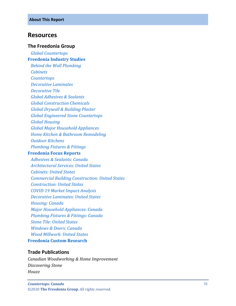### <span id="page-6-0"></span>**Resources**

#### **The Freedonia Group**

 *[Global Countertops](http://www.freedoniagroup.com/DocumentDetails.aspx?ReferrerId=FL-FOCUS&studyid=3836)* **[Freedonia Industry Studies](http://www.freedoniagroup.com/Home.aspx?ReferrerId=FL-Focus)**  *[Behind the Wall Plumbing](http://www.freedoniagroup.com/DocumentDetails.aspx?ReferrerId=FL-FOCUS&studyid=3642) [Cabinets](http://www.freedoniagroup.com/DocumentDetails.aspx?ReferrerId=FL-FOCUS&studyid=3772) [Countertops](http://www.freedoniagroup.com/DocumentDetails.aspx?ReferrerId=FL-FOCUS&studyid=3799) [Decorative Laminates](http://www.freedoniagroup.com/DocumentDetails.aspx?ReferrerId=FL-FOCUS&studyid=3662) [Decorative Tile](http://www.freedoniagroup.com/DocumentDetails.aspx?ReferrerId=FL-FOCUS&studyid=3697) [Global Adhesives & Sealants](http://www.freedoniagroup.com/DocumentDetails.aspx?ReferrerId=FL-FOCUS&studyid=3715) [Global Construction Chemicals](http://www.freedoniagroup.com/DocumentDetails.aspx?ReferrerId=FL-FOCUS&studyid=3769) [Global Drywall & Building Plaster](http://www.freedoniagroup.com/DocumentDetails.aspx?ReferrerId=FL-FOCUS&studyid=3768) [Global Engineered Stone Countertops](http://www.freedoniagroup.com/DocumentDetails.aspx?ReferrerId=FL-FOCUS&studyid=3813) [Global Housing](http://www.freedoniagroup.com/DocumentDetails.aspx?ReferrerId=FL-FOCUS&studyid=3752) [Global Major Household Appliances](http://www.freedoniagroup.com/DocumentDetails.aspx?ReferrerId=FL-FOCUS&studyid=3739) [Home Kitchen & Bathroom Remodeling](http://www.freedoniagroup.com/DocumentDetails.aspx?ReferrerId=FL-FOCUS&studyid=3604) [Outdoor Kitchens](http://www.freedoniagroup.com/DocumentDetails.aspx?ReferrerId=FL-FOCUS&studyid=3821) [Plumbing Fixtures & Fittings](http://www.freedoniagroup.com/DocumentDetails.aspx?ReferrerId=FL-FOCUS&studyid=3717)* **Freedonia [Focus Reports](https://www.freedoniafocusreports.com/redirect.asp?progid=89534&url=/)**  *[Adhesives & Sealants: Canada](https://www.freedoniafocusreports.com/Adhesives-Sealants-Canada-FA35088/?progid=89534) [Architectural Services: United States](https://www.freedoniafocusreports.com/Architectural-Services-United-States-FF95039/?progid=89534) [Cabinets: United States](https://www.freedoniafocusreports.com/Cabinets-United-States-FF60042/?progid=89534) [Commercial Building Construction: United States](https://www.freedoniafocusreports.com/Commercial-Building-Construction-United-States-FF60032/?progid=89534) [Construction: United States](https://www.freedoniafocusreports.com/Construction-United-States-FF60054/?progid=89534) [COVID-19 Market Impact Analysis](https://www.freedoniafocusreports.com/COVID-19-Market-Impact-Analysis-FW95079/?progid=89534) [Decorative Laminates: United States](https://www.freedoniafocusreports.com/Decorative-Laminates-United-States-FF60027/?progid=89534) [Housing: Canada](https://www.freedoniafocusreports.com/Housing-Canada-FA60024/?progid=89534) [Major Household Appliances: Canada](https://www.freedoniafocusreports.com/Major-Household-Appliances-Canada-FA90017/?progid=89534) [Plumbing Fixtures & Fittings: Canada](https://www.freedoniafocusreports.com/Plumbing-Fixtures-Fittings-Canada-FA60035/?progid=89534) [Stone Tile: United States](https://www.freedoniafocusreports.com/Stone-Tile-United-States-FF60070/?progid=89534)*

 *[Windows & Doors: Canada](https://www.freedoniafocusreports.com/Windows-Doors-Canada-FA60041/?progid=89534) [Wood Millwork: United States](https://www.freedoniafocusreports.com/Wood-Millwork-United-States-FF20012/?progid=89534)*

**[Freedonia Custom Research](http://www.freedoniagroup.com/CustomResearch.aspx?ReferrerId=FL-Focus)**

#### **Trade Publications**

*Canadian Woodworking & Home Improvement Discovering Stone Houzz*